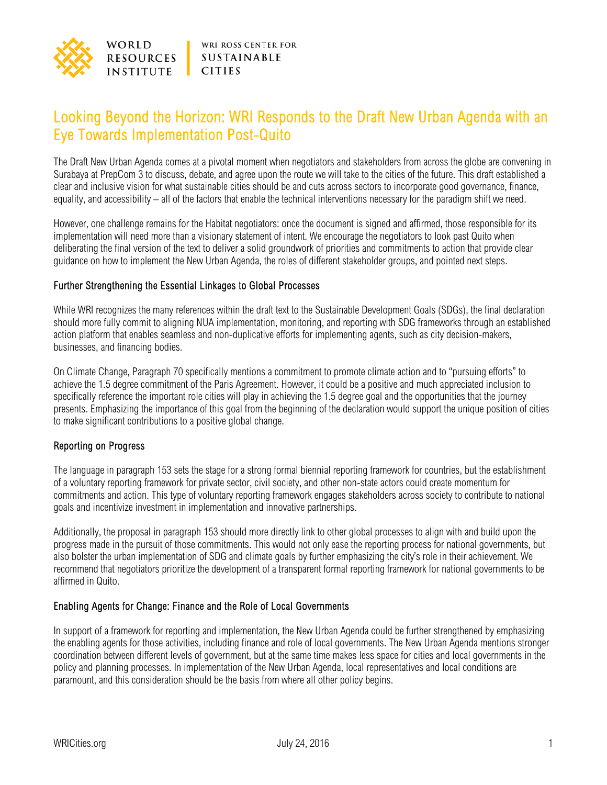

# Looking Beyond the Horizon: WRI Responds to the Draft New Urban Agenda with an Eye Towards Implementation Post-Quito

The Draft New Urban Agenda comes at a pivotal moment when negotiators and stakeholders from across the globe are convening in Surabaya at PrepCom 3 to discuss, debate, and agree upon the route we will take to the cities of the future. This draft established a clear and inclusive vision for what sustainable cities should be and cuts across sectors to incorporate good governance, finance, equality, and accessibility – all of the factors that enable the technical interventions necessary for the paradigm shift we need.

However, one challenge remains for the Habitat negotiators: once the document is signed and affirmed, those responsible for its implementation will need more than a visionary statement of intent. We encourage the negotiators to look past Quito when deliberating the final version of the text to deliver a solid groundwork of priorities and commitments to action that provide clear guidance on how to implement the New Urban Agenda, the roles of different stakeholder groups, and pointed next steps.

#### Further Strengthening the Essential Linkages to Global Processes

While WRI recognizes the many references within the draft text to the Sustainable Development Goals (SDGs), the final declaration should more fully commit to aligning NUA implementation, monitoring, and reporting with SDG frameworks through an established action platform that enables seamless and non-duplicative efforts for implementing agents, such as city decision-makers, businesses, and financing bodies.

On Climate Change, Paragraph 70 specifically mentions a commitment to promote climate action and to "pursuing efforts" to achieve the 1.5 degree commitment of the Paris Agreement. However, it could be a positive and much appreciated inclusion to specifically reference the important role cities will play in achieving the 1.5 degree goal and the opportunities that the journey presents. Emphasizing the importance of this goal from the beginning of the declaration would support the unique position of cities to make significant contributions to a positive global change.

#### Reporting on Progress

The language in paragraph 153 sets the stage for a strong formal biennial reporting framework for countries, but the establishment of a voluntary reporting framework for private sector, civil society, and other non-state actors could create momentum for commitments and action. This type of voluntary reporting framework engages stakeholders across society to contribute to national goals and incentivize investment in implementation and innovative partnerships.

Additionally, the proposal in paragraph 153 should more directly link to other global processes to align with and build upon the progress made in the pursuit of those commitments. This would not only ease the reporting process for national governments, but also bolster the urban implementation of SDG and climate goals by further emphasizing the city's role in their achievement. We recommend that negotiators prioritize the development of a transparent formal reporting framework for national governments to be affirmed in Quito.

#### Enabling Agents for Change: Finance and the Role of Local Governments

In support of a framework for reporting and implementation, the New Urban Agenda could be further strengthened by emphasizing the enabling agents for those activities, including finance and role of local governments. The New Urban Agenda mentions stronger coordination between different levels of government, but at the same time makes less space for cities and local governments in the policy and planning processes. In implementation of the New Urban Agenda, local representatives and local conditions are paramount, and this consideration should be the basis from where all other policy begins.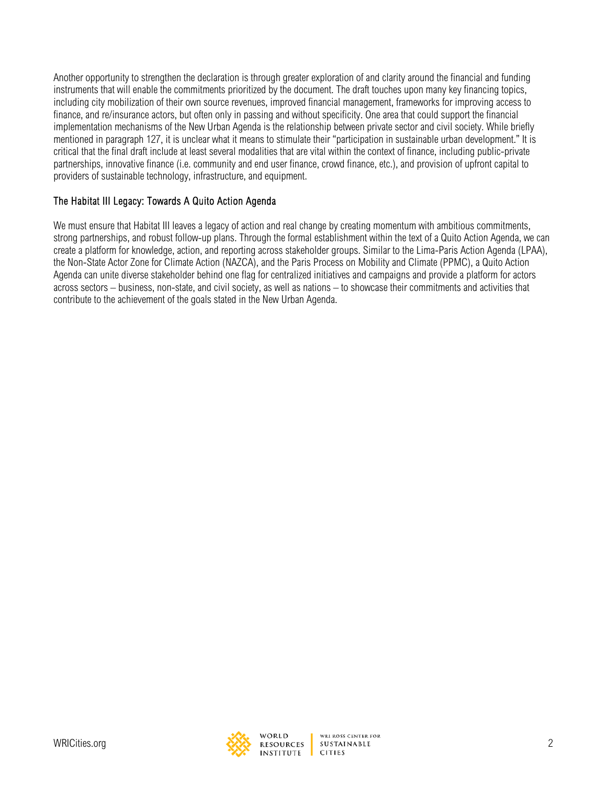Another opportunity to strengthen the declaration is through greater exploration of and clarity around the financial and funding instruments that will enable the commitments prioritized by the document. The draft touches upon many key financing topics, including city mobilization of their own source revenues, improved financial management, frameworks for improving access to finance, and re/insurance actors, but often only in passing and without specificity. One area that could support the financial implementation mechanisms of the New Urban Agenda is the relationship between private sector and civil society. While briefly mentioned in paragraph 127, it is unclear what it means to stimulate their "participation in sustainable urban development." It is critical that the final draft include at least several modalities that are vital within the context of finance, including public-private partnerships, innovative finance (i.e. community and end user finance, crowd finance, etc.), and provision of upfront capital to providers of sustainable technology, infrastructure, and equipment.

### The Habitat III Legacy: Towards A Quito Action Agenda

We must ensure that Habitat III leaves a legacy of action and real change by creating momentum with ambitious commitments, strong partnerships, and robust follow-up plans. Through the formal establishment within the text of a Quito Action Agenda, we can create a platform for knowledge, action, and reporting across stakeholder groups. Similar to the Lima-Paris Action Agenda (LPAA), the Non-State Actor Zone for Climate Action (NAZCA), and the Paris Process on Mobility and Climate (PPMC), a Quito Action Agenda can unite diverse stakeholder behind one flag for centralized initiatives and campaigns and provide a platform for actors across sectors – business, non-state, and civil society, as well as nations – to showcase their commitments and activities that contribute to the achievement of the goals stated in the New Urban Agenda.



WORLD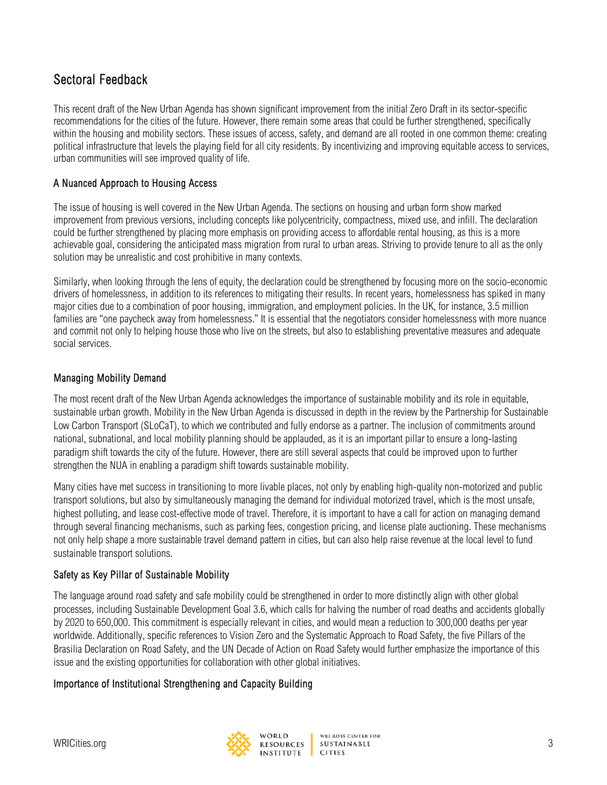# Sectoral Feedback

This recent draft of the New Urban Agenda has shown significant improvement from the initial Zero Draft in its sector-specific recommendations for the cities of the future. However, there remain some areas that could be further strengthened, specifically within the housing and mobility sectors. These issues of access, safety, and demand are all rooted in one common theme: creating political infrastructure that levels the playing field for all city residents. By incentivizing and improving equitable access to services, urban communities will see improved quality of life.

### A Nuanced Approach to Housing Access

The issue of housing is well covered in the New Urban Agenda. The sections on housing and urban form show marked improvement from previous versions, including concepts like polycentricity, compactness, mixed use, and infill. The declaration could be further strengthened by placing more emphasis on providing access to affordable rental housing, as this is a more achievable goal, considering the anticipated mass migration from rural to urban areas. Striving to provide tenure to all as the only solution may be unrealistic and cost prohibitive in many contexts.

Similarly, when looking through the lens of equity, the declaration could be strengthened by focusing more on the socio-economic drivers of homelessness, in addition to its references to mitigating their results. In recent years, homelessness has spiked in many major cities due to a combination of poor housing, immigration, and employment policies. In the UK, for instance, 3.5 million families are "one paycheck away from homelessness." It is essential that the negotiators consider homelessness with more nuance and commit not only to helping house those who live on the streets, but also to establishing preventative measures and adequate social services.

## Managing Mobility Demand

The most recent draft of the New Urban Agenda acknowledges the importance of sustainable mobility and its role in equitable, sustainable urban growth. Mobility in the New Urban Agenda is discussed in depth in the review by the Partnership for Sustainable Low Carbon Transport (SLoCaT), to which we contributed and fully endorse as a partner. The inclusion of commitments around national, subnational, and local mobility planning should be applauded, as it is an important pillar to ensure a long-lasting paradigm shift towards the city of the future. However, there are still several aspects that could be improved upon to further strengthen the NUA in enabling a paradigm shift towards sustainable mobility.

Many cities have met success in transitioning to more livable places, not only by enabling high-quality non-motorized and public transport solutions, but also by simultaneously managing the demand for individual motorized travel, which is the most unsafe, highest polluting, and lease cost-effective mode of travel. Therefore, it is important to have a call for action on managing demand through several financing mechanisms, such as parking fees, congestion pricing, and license plate auctioning. These mechanisms not only help shape a more sustainable travel demand pattern in cities, but can also help raise revenue at the local level to fund sustainable transport solutions.

## Safety as Key Pillar of Sustainable Mobility

The language around road safety and safe mobility could be strengthened in order to more distinctly align with other global processes, including Sustainable Development Goal 3.6, which calls for halving the number of road deaths and accidents globally by 2020 to 650,000. This commitment is especially relevant in cities, and would mean a reduction to 300,000 deaths per year worldwide. Additionally, specific references to Vision Zero and the Systematic Approach to Road Safety, the five Pillars of the Brasilia Declaration on Road Safety, and the UN Decade of Action on Road Safety would further emphasize the importance of this issue and the existing opportunities for collaboration with other global initiatives.

#### Importance of Institutional Strengthening and Capacity Building

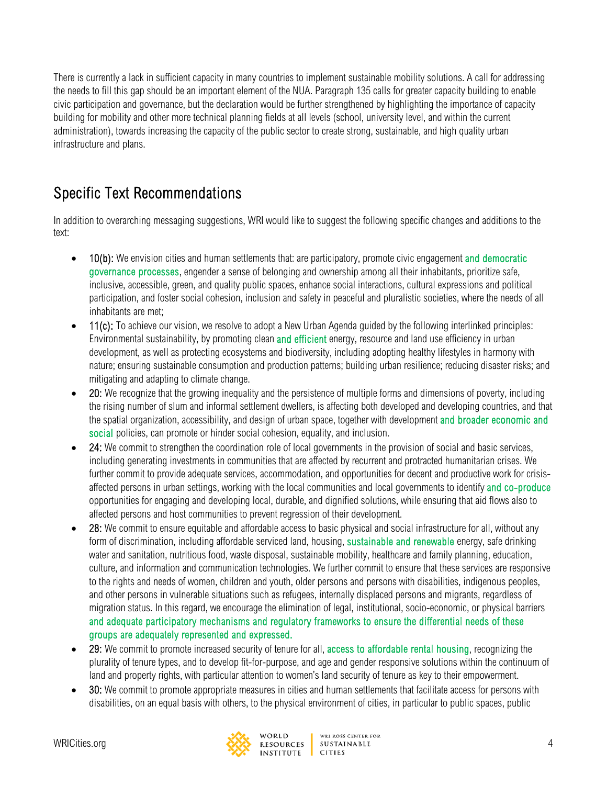There is currently a lack in sufficient capacity in many countries to implement sustainable mobility solutions. A call for addressing the needs to fill this gap should be an important element of the NUA. Paragraph 135 calls for greater capacity building to enable civic participation and governance, but the declaration would be further strengthened by highlighting the importance of capacity building for mobility and other more technical planning fields at all levels (school, university level, and within the current administration), towards increasing the capacity of the public sector to create strong, sustainable, and high quality urban infrastructure and plans.

# Specific Text Recommendations

In addition to overarching messaging suggestions, WRI would like to suggest the following specific changes and additions to the text:

- 10(b): We envision cities and human settlements that: are participatory, promote civic engagement and democratic governance processes, engender a sense of belonging and ownership among all their inhabitants, prioritize safe, inclusive, accessible, green, and quality public spaces, enhance social interactions, cultural expressions and political participation, and foster social cohesion, inclusion and safety in peaceful and pluralistic societies, where the needs of all inhabitants are met;
- 11(c): To achieve our vision, we resolve to adopt a New Urban Agenda guided by the following interlinked principles: Environmental sustainability, by promoting clean and efficient energy, resource and land use efficiency in urban development, as well as protecting ecosystems and biodiversity, including adopting healthy lifestyles in harmony with nature; ensuring sustainable consumption and production patterns; building urban resilience; reducing disaster risks; and mitigating and adapting to climate change.
- 20: We recognize that the growing inequality and the persistence of multiple forms and dimensions of poverty, including the rising number of slum and informal settlement dwellers, is affecting both developed and developing countries, and that the spatial organization, accessibility, and design of urban space, together with development and broader economic and social policies, can promote or hinder social cohesion, equality, and inclusion.
- 24: We commit to strengthen the coordination role of local governments in the provision of social and basic services, including generating investments in communities that are affected by recurrent and protracted humanitarian crises. We further commit to provide adequate services, accommodation, and opportunities for decent and productive work for crisisaffected persons in urban settings, working with the local communities and local governments to identify and co-produce opportunities for engaging and developing local, durable, and dignified solutions, while ensuring that aid flows also to affected persons and host communities to prevent regression of their development.
- 28: We commit to ensure equitable and affordable access to basic physical and social infrastructure for all, without any form of discrimination, including affordable serviced land, housing, sustainable and renewable energy, safe drinking water and sanitation, nutritious food, waste disposal, sustainable mobility, healthcare and family planning, education, culture, and information and communication technologies. We further commit to ensure that these services are responsive to the rights and needs of women, children and youth, older persons and persons with disabilities, indigenous peoples, and other persons in vulnerable situations such as refugees, internally displaced persons and migrants, regardless of migration status. In this regard, we encourage the elimination of legal, institutional, socio-economic, or physical barriers and adequate participatory mechanisms and regulatory frameworks to ensure the differential needs of these groups are adequately represented and expressed.
- 29: We commit to promote increased security of tenure for all, access to affordable rental housing, recognizing the plurality of tenure types, and to develop fit-for-purpose, and age and gender responsive solutions within the continuum of land and property rights, with particular attention to women's land security of tenure as key to their empowerment.
- 30: We commit to promote appropriate measures in cities and human settlements that facilitate access for persons with disabilities, on an equal basis with others, to the physical environment of cities, in particular to public spaces, public

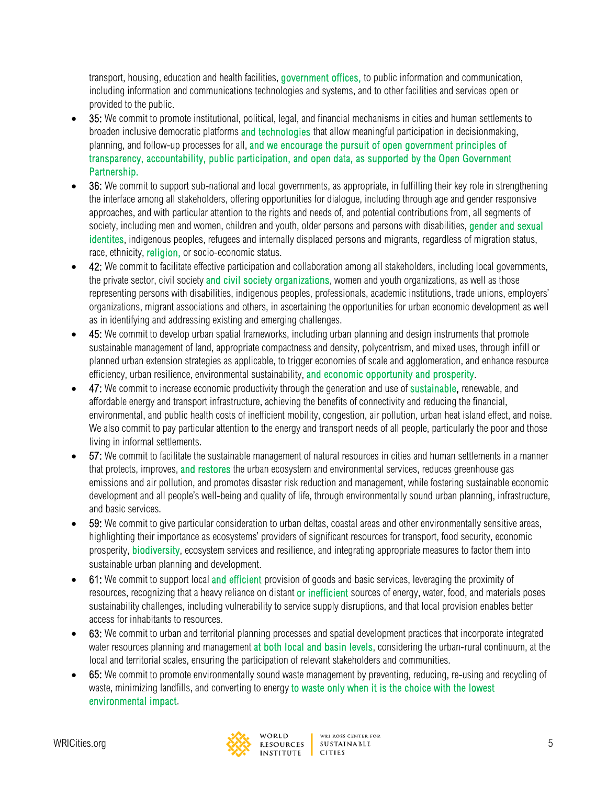transport, housing, education and health facilities, government offices, to public information and communication, including information and communications technologies and systems, and to other facilities and services open or provided to the public.

- 35: We commit to promote institutional, political, legal, and financial mechanisms in cities and human settlements to broaden inclusive democratic platforms and technologies that allow meaningful participation in decisionmaking, planning, and follow-up processes for all, and we encourage the pursuit of open government principles of transparency, accountability, public participation, and open data, as supported by the Open Government Partnership.
- 36: We commit to support sub-national and local governments, as appropriate, in fulfilling their key role in strengthening the interface among all stakeholders, offering opportunities for dialogue, including through age and gender responsive approaches, and with particular attention to the rights and needs of, and potential contributions from, all segments of society, including men and women, children and youth, older persons and persons with disabilities, gender and sexual identites, indigenous peoples, refugees and internally displaced persons and migrants, regardless of migration status, race, ethnicity, religion, or socio-economic status.
- 42: We commit to facilitate effective participation and collaboration among all stakeholders, including local governments, the private sector, civil society and civil society organizations, women and youth organizations, as well as those representing persons with disabilities, indigenous peoples, professionals, academic institutions, trade unions, employers' organizations, migrant associations and others, in ascertaining the opportunities for urban economic development as well as in identifying and addressing existing and emerging challenges.
- 45: We commit to develop urban spatial frameworks, including urban planning and design instruments that promote sustainable management of land, appropriate compactness and density, polycentrism, and mixed uses, through infill or planned urban extension strategies as applicable, to trigger economies of scale and agglomeration, and enhance resource efficiency, urban resilience, environmental sustainability, and economic opportunity and prosperity.
- 47: We commit to increase economic productivity through the generation and use of sustainable, renewable, and affordable energy and transport infrastructure, achieving the benefits of connectivity and reducing the financial, environmental, and public health costs of inefficient mobility, congestion, air pollution, urban heat island effect, and noise. We also commit to pay particular attention to the energy and transport needs of all people, particularly the poor and those living in informal settlements.
- 57: We commit to facilitate the sustainable management of natural resources in cities and human settlements in a manner that protects, improves, and restores the urban ecosystem and environmental services, reduces greenhouse gas emissions and air pollution, and promotes disaster risk reduction and management, while fostering sustainable economic development and all people's well-being and quality of life, through environmentally sound urban planning, infrastructure, and basic services.
- 59: We commit to give particular consideration to urban deltas, coastal areas and other environmentally sensitive areas, highlighting their importance as ecosystems' providers of significant resources for transport, food security, economic prosperity, biodiversity, ecosystem services and resilience, and integrating appropriate measures to factor them into sustainable urban planning and development.
- 61: We commit to support local and efficient provision of goods and basic services, leveraging the proximity of resources, recognizing that a heavy reliance on distant or inefficient sources of energy, water, food, and materials poses sustainability challenges, including vulnerability to service supply disruptions, and that local provision enables better access for inhabitants to resources.
- 63: We commit to urban and territorial planning processes and spatial development practices that incorporate integrated water resources planning and management at both local and basin levels, considering the urban-rural continuum, at the local and territorial scales, ensuring the participation of relevant stakeholders and communities.
- 65: We commit to promote environmentally sound waste management by preventing, reducing, re-using and recycling of waste, minimizing landfills, and converting to energy to waste only when it is the choice with the lowest environmental impact.

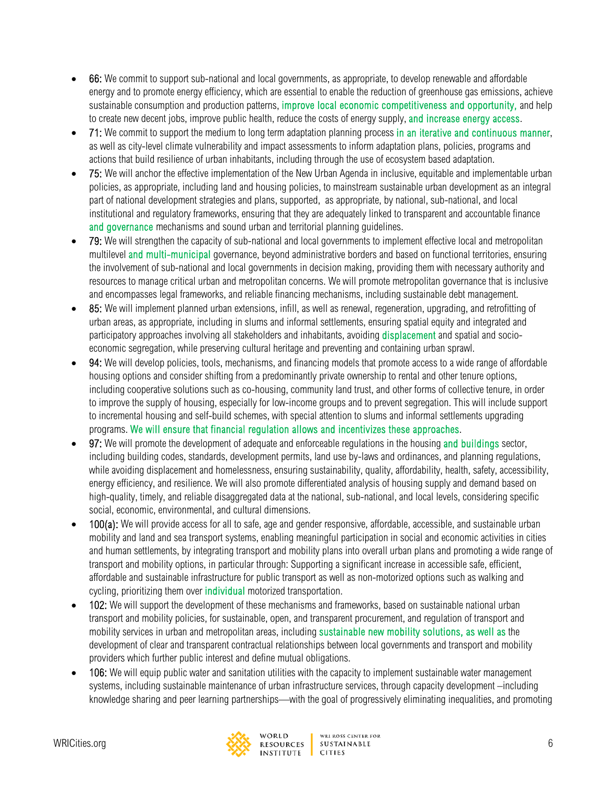- 66: We commit to support sub-national and local governments, as appropriate, to develop renewable and affordable energy and to promote energy efficiency, which are essential to enable the reduction of greenhouse gas emissions, achieve sustainable consumption and production patterns, improve local economic competitiveness and opportunity, and help to create new decent jobs, improve public health, reduce the costs of energy supply, and increase energy access.
- 71: We commit to support the medium to long term adaptation planning process in an iterative and continuous manner, as well as city-level climate vulnerability and impact assessments to inform adaptation plans, policies, programs and actions that build resilience of urban inhabitants, including through the use of ecosystem based adaptation.
- 75: We will anchor the effective implementation of the New Urban Agenda in inclusive, equitable and implementable urban policies, as appropriate, including land and housing policies, to mainstream sustainable urban development as an integral part of national development strategies and plans, supported, as appropriate, by national, sub-national, and local institutional and regulatory frameworks, ensuring that they are adequately linked to transparent and accountable finance and governance mechanisms and sound urban and territorial planning quidelines.
- 79: We will strengthen the capacity of sub-national and local governments to implement effective local and metropolitan multilevel and multi-municipal governance, beyond administrative borders and based on functional territories, ensuring the involvement of sub-national and local governments in decision making, providing them with necessary authority and resources to manage critical urban and metropolitan concerns. We will promote metropolitan governance that is inclusive and encompasses legal frameworks, and reliable financing mechanisms, including sustainable debt management.
- 85: We will implement planned urban extensions, infill, as well as renewal, regeneration, upgrading, and retrofitting of urban areas, as appropriate, including in slums and informal settlements, ensuring spatial equity and integrated and participatory approaches involving all stakeholders and inhabitants, avoiding displacement and spatial and socioeconomic segregation, while preserving cultural heritage and preventing and containing urban sprawl.
- 94: We will develop policies, tools, mechanisms, and financing models that promote access to a wide range of affordable housing options and consider shifting from a predominantly private ownership to rental and other tenure options, including cooperative solutions such as co-housing, community land trust, and other forms of collective tenure, in order to improve the supply of housing, especially for low-income groups and to prevent segregation. This will include support to incremental housing and self-build schemes, with special attention to slums and informal settlements upgrading programs. We will ensure that financial regulation allows and incentivizes these approaches.
- 97: We will promote the development of adequate and enforceable regulations in the housing and buildings sector, including building codes, standards, development permits, land use by-laws and ordinances, and planning regulations, while avoiding displacement and homelessness, ensuring sustainability, quality, affordability, health, safety, accessibility, energy efficiency, and resilience. We will also promote differentiated analysis of housing supply and demand based on high-quality, timely, and reliable disaggregated data at the national, sub-national, and local levels, considering specific social, economic, environmental, and cultural dimensions.
- 100(a): We will provide access for all to safe, age and gender responsive, affordable, accessible, and sustainable urban mobility and land and sea transport systems, enabling meaningful participation in social and economic activities in cities and human settlements, by integrating transport and mobility plans into overall urban plans and promoting a wide range of transport and mobility options, in particular through: Supporting a significant increase in accessible safe, efficient, affordable and sustainable infrastructure for public transport as well as non-motorized options such as walking and cycling, prioritizing them over *individual* motorized transportation.
- 102: We will support the development of these mechanisms and frameworks, based on sustainable national urban transport and mobility policies, for sustainable, open, and transparent procurement, and regulation of transport and mobility services in urban and metropolitan areas, including sustainable new mobility solutions, as well as the development of clear and transparent contractual relationships between local governments and transport and mobility providers which further public interest and define mutual obligations.
- 106: We will equip public water and sanitation utilities with the capacity to implement sustainable water management systems, including sustainable maintenance of urban infrastructure services, through capacity development –including knowledge sharing and peer learning partnerships—with the goal of progressively eliminating inequalities, and promoting